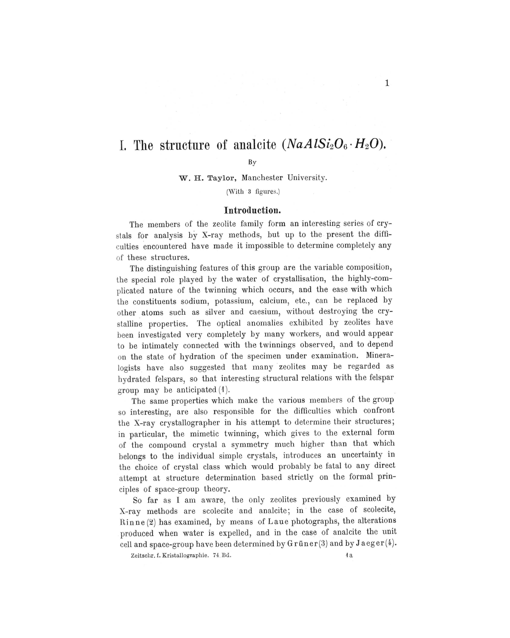# **1.** The structure of analcite  $(NaAISi<sub>2</sub>O<sub>6</sub> · H<sub>2</sub>O)$ .

### By

W. H. Taylor, Manchester University.

(With 3 figures.)

## **Introduction.**

The members of the zeolite family form an interesting series of crystals for analysis by X-ray methods, but up to the present the difficulties encountered have made it impossible to determine completely any of these structures.

The distinguishing features of this group are the variable composition, the special role played by the water of crystallisation, the highly-complicated nature of the twinning which occurs, and the ease with which the constituents sodium, potassium, calcium, etc., can be replaced by other. atoms such as silver and caesium, without destroying the crystalline properties. The optical anomalies exhibited by zeolites have been investigated very completely by many workers, and would appear to be intimately connected with the twinnings observed, and to depend on the state of hydration of the specimen under examination. Mineralogists have also suggested that many zeolites may be regarded as hydrated felspars, so that interesting structural relations with the felspar group may be anticipated (1).

The same properties which make the various members of the group so interesting, are also responsible for the difficulties which confront the X-ray crystallographer in his attempt to determine their structures; in particular, the mimetic twinning, which gives to the external form of the compound crystal a symmetry much higher than that which belongs to the individual simple crystals, introduces an uncertainty in the choice of crystal class which would probably be fatal to any direct attempt at structure determination based strictly on the formal principles of space-group theory.

So far as I am aware, the only zeolites previously examined by X-ray methods are scolecite and analcite; in the case of scolecite, Rinne (2) has examined, by means of Laue photographs, the alterations produced when water is expelled, and in the case of analcite the unit cell and space-group have been determined by  $G$ rüner(3) and by Jaeger(4).

Zeitschr. f. Kristallographie. 74. Bd.  $4a$ 

1